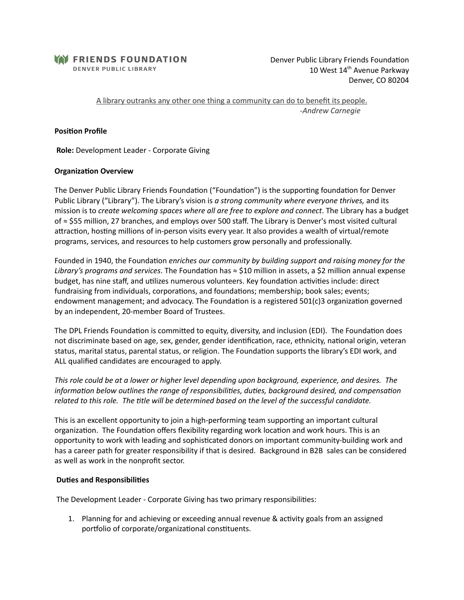

Denver Public Library Friends Foundation 10 West 14<sup>th</sup> Avenue Parkway Denver, CO 80204

A library outranks any other one thing a community can do to benefit its people. -*Andrew Carnegie*

### **Position Profile**

**Role:** Development Leader - Corporate Giving

### **Organization Overview**

The Denver Public Library Friends Foundation ("Foundation") is the supporting foundation for Denver Public Library ("Library"). The Library's vision is *a strong community where everyone thrives,* and its mission is to *create welcoming spaces where all are free to explore and connect*. The Library has a budget of ≈ \$55 million, 27 branches, and employs over 500 staff. The Library is Denver's most visited cultural attraction, hosting millions of in-person visits every year. It also provides a wealth of virtual/remote programs, services, and resources to help customers grow personally and professionally.

Founded in 1940, the Foundation *enriches our community by building support and raising money for the Library's programs and services*. The Foundation has ≈ \$10 million in assets, a \$2 million annual expense budget, has nine staff, and utilizes numerous volunteers. Key foundation activities include: direct fundraising from individuals, corporations, and foundations; membership; book sales; events; endowment management; and advocacy. The Foundation is a registered  $501(c)3$  organization governed by an independent, 20-member Board of Trustees.

The DPL Friends Foundation is committed to equity, diversity, and inclusion (EDI). The Foundation does not discriminate based on age, sex, gender, gender identification, race, ethnicity, national origin, veteran status, marital status, parental status, or religion. The Foundation supports the library's EDI work, and ALL qualified candidates are encouraged to apply.

*This role could be at a lower or higher level depending upon background, experience, and desires. The information below outlines the range of responsibilities, duties, background desired, and compensation related to this role. The tle will be determined based on the level of the successful candidate.*

This is an excellent opportunity to join a high-performing team supporting an important cultural organization. The Foundation offers flexibility regarding work location and work hours. This is an opportunity to work with leading and sophisticated donors on important community-building work and has a career path for greater responsibility if that is desired. Background in B2B sales can be considered as well as work in the nonprofit sector.

#### **Duties and Responsibilities**

The Development Leader - Corporate Giving has two primary responsibilies:

1. Planning for and achieving or exceeding annual revenue & activity goals from an assigned portfolio of corporate/organizational constituents.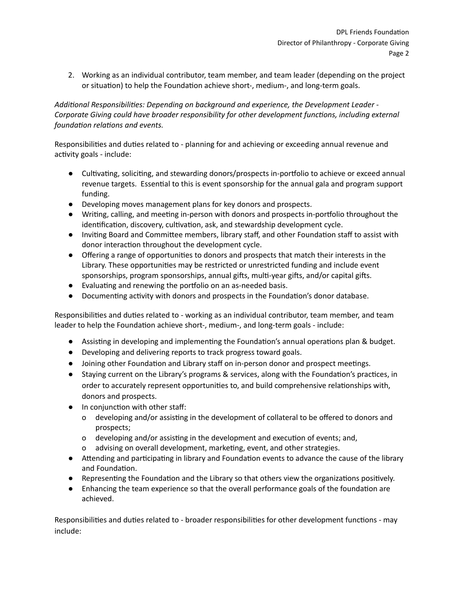2. Working as an individual contributor, team member, and team leader (depending on the project or situation) to help the Foundation achieve short-, medium-, and long-term goals.

*Addional Responsibilies: Depending on background and experience, the Development Leader - Corporate Giving could have broader responsibility for other development funcons, including external foundation relations and events.* 

Responsibilities and duties related to - planning for and achieving or exceeding annual revenue and activity goals - include:

- $\bullet$  Cultivating, soliciting, and stewarding donors/prospects in-portfolio to achieve or exceed annual revenue targets. Essential to this is event sponsorship for the annual gala and program support funding.
- Developing moves management plans for key donors and prospects.
- Writing, calling, and meeting in-person with donors and prospects in-portfolio throughout the identification, discovery, cultivation, ask, and stewardship development cycle.
- Inviting Board and Committee members, library staff, and other Foundation staff to assist with donor interaction throughout the development cycle.
- Offering a range of opportunities to donors and prospects that match their interests in the Library. These opportunities may be restricted or unrestricted funding and include event sponsorships, program sponsorships, annual gifts, multi-year gifts, and/or capital gifts.
- Evaluating and renewing the portfolio on an as-needed basis.
- Documenting activity with donors and prospects in the Foundation's donor database.

Responsibilities and duties related to - working as an individual contributor, team member, and team leader to help the Foundation achieve short-, medium-, and long-term goals - include:

- Assisting in developing and implementing the Foundation's annual operations plan & budget.
- Developing and delivering reports to track progress toward goals.
- Joining other Foundation and Library staff on in-person donor and prospect meetings.
- Staying current on the Library's programs & services, along with the Foundation's practices, in order to accurately represent opportunities to, and build comprehensive relationships with, donors and prospects.
- In conjunction with other staff:
	- o developing and/or assisting in the development of collateral to be offered to donors and prospects;
	- o developing and/or assisting in the development and execution of events; and,
	- o advising on overall development, marketing, event, and other strategies.
- Attending and participating in library and Foundation events to advance the cause of the library and Foundation.
- Representing the Foundation and the Library so that others view the organizations positively.
- Enhancing the team experience so that the overall performance goals of the foundation are achieved.

Responsibilities and duties related to - broader responsibilities for other development functions - may include: